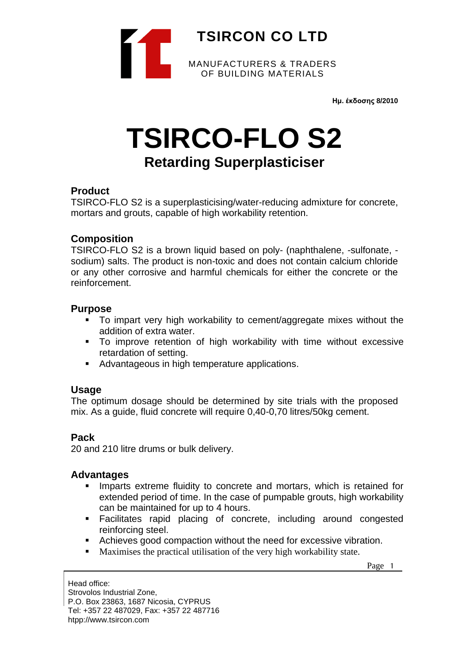

**Ημ. έκδοσης 8/2010**

# **TSIRCO-FLO S2**

# **Retarding Superplasticiser**

#### **Product**

TSIRCO-FLO S2 is a superplasticising/water-reducing admixture for concrete, mortars and grouts, capable of high workability retention.

#### **Composition**

TSIRCO-FLO S2 is a brown liquid based on poly- (naphthalene, -sulfonate, sodium) salts. The product is non-toxic and does not contain calcium chloride or any other corrosive and harmful chemicals for either the concrete or the reinforcement.

#### **Purpose**

- To impart very high workability to cement/aggregate mixes without the addition of extra water.
- To improve retention of high workability with time without excessive retardation of setting.
- Advantageous in high temperature applications.

#### **Usage**

The optimum dosage should be determined by site trials with the proposed mix. As a guide, fluid concrete will require 0,40-0,70 litres/50kg cement.

## **Pack**

20 and 210 litre drums or bulk delivery.

#### **Advantages**

- **EXTERUM** Imparts extreme fluidity to concrete and mortars, which is retained for extended period of time. In the case of pumpable grouts, high workability can be maintained for up to 4 hours.
- Facilitates rapid placing of concrete, including around congested reinforcing steel.
- Achieves good compaction without the need for excessive vibration.
- Maximises the practical utilisation of the very high workability state.

Page 1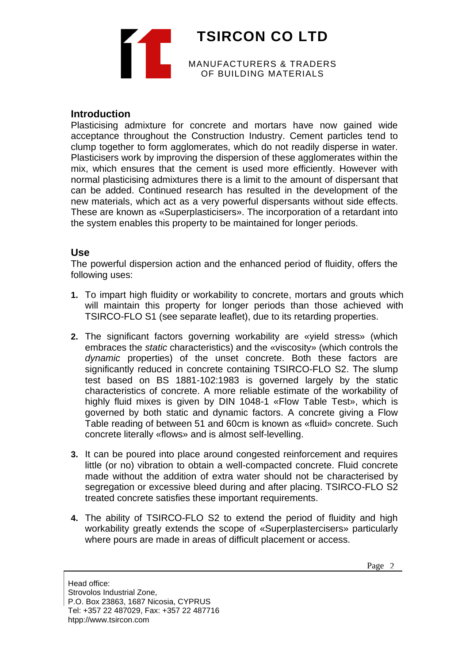**TSIRCON CO LTD** MANUFACTURERS & TRADERS OF BUILDING MATERIALS

#### **Introduction**

Plasticising admixture for concrete and mortars have now gained wide acceptance throughout the Construction Industry. Cement particles tend to clump together to form agglomerates, which do not readily disperse in water. Plasticisers work by improving the dispersion of these agglomerates within the mix, which ensures that the cement is used more efficiently. However with normal plasticising admixtures there is a limit to the amount of dispersant that can be added. Continued research has resulted in the development of the new materials, which act as a very powerful dispersants without side effects. These are known as «Superplasticisers». The incorporation of a retardant into the system enables this property to be maintained for longer periods.

#### **Use**

The powerful dispersion action and the enhanced period of fluidity, offers the following uses:

- **1.** To impart high fluidity or workability to concrete, mortars and grouts which will maintain this property for longer periods than those achieved with TSIRCO-FLO S1 (see separate leaflet), due to its retarding properties.
- **2.** The significant factors governing workability are «yield stress» (which embraces the *static* characteristics) and the «viscosity» (which controls the *dynamic* properties) of the unset concrete. Both these factors are significantly reduced in concrete containing TSIRCO-FLO S2. The slump test based on BS 1881-102:1983 is governed largely by the static characteristics of concrete. A more reliable estimate of the workability of highly fluid mixes is given by DIN 1048-1 «Flow Table Test», which is governed by both static and dynamic factors. A concrete giving a Flow Table reading of between 51 and 60cm is known as «fluid» concrete. Such concrete literally «flows» and is almost self-levelling.
- **3.** It can be poured into place around congested reinforcement and requires little (or no) vibration to obtain a well-compacted concrete. Fluid concrete made without the addition of extra water should not be characterised by segregation or excessive bleed during and after placing. TSIRCO-FLO S2 treated concrete satisfies these important requirements.
- **4.** The ability of TSIRCO-FLO S2 to extend the period of fluidity and high workability greatly extends the scope of «Superplastercisers» particularly where pours are made in areas of difficult placement or access.

Page 2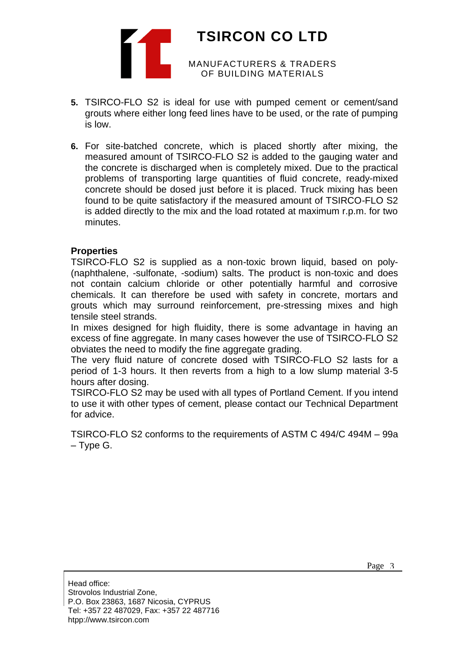

- **5.** TSIRCO-FLO S2 is ideal for use with pumped cement or cement/sand grouts where either long feed lines have to be used, or the rate of pumping is low.
- **6.** For site-batched concrete, which is placed shortly after mixing, the measured amount of TSIRCO-FLO S2 is added to the gauging water and the concrete is discharged when is completely mixed. Due to the practical problems of transporting large quantities of fluid concrete, ready-mixed concrete should be dosed just before it is placed. Truck mixing has been found to be quite satisfactory if the measured amount of TSIRCO-FLO S2 is added directly to the mix and the load rotated at maximum r.p.m. for two minutes.

#### **Properties**

TSIRCO-FLO S2 is supplied as a non-toxic brown liquid, based on poly- (naphthalene, -sulfonate, -sodium) salts. The product is non-toxic and does not contain calcium chloride or other potentially harmful and corrosive chemicals. It can therefore be used with safety in concrete, mortars and grouts which may surround reinforcement, pre-stressing mixes and high tensile steel strands.

In mixes designed for high fluidity, there is some advantage in having an excess of fine aggregate. In many cases however the use of TSIRCO-FLO S2 obviates the need to modify the fine aggregate grading.

The very fluid nature of concrete dosed with TSIRCO-FLO S2 lasts for a period of 1-3 hours. It then reverts from a high to a low slump material 3-5 hours after dosing.

TSIRCO-FLO S2 may be used with all types of Portland Cement. If you intend to use it with other types of cement, please contact our Technical Department for advice.

TSIRCO-FLO S2 conforms to the requirements of ASTM C 494/C 494M – 99a – Type G.

Head office: